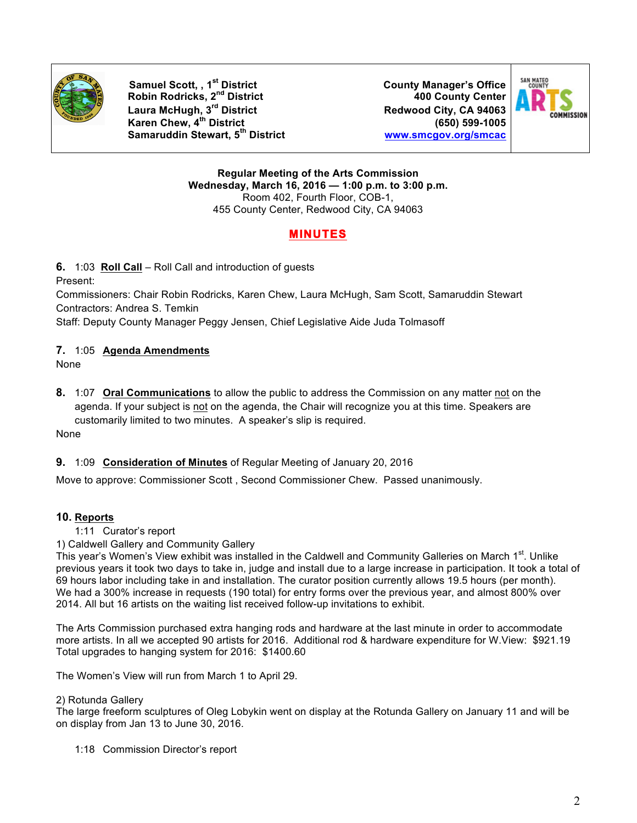

**Samuel Scott, , 1st District County Manager's Office Robin Rodricks, 2nd District 400 County Center Laura McHugh, 3rd District Redwood City, CA 94063 Karen Chew, 4th District (650) 599-1005 Samaruddin Stewart, 5th District www.smcgov.org/smcac**



**Regular Meeting of the Arts Commission Wednesday, March 16, 2016 — 1:00 p.m. to 3:00 p.m.** Room 402, Fourth Floor, COB-1, 455 County Center, Redwood City, CA 94063

# **MINUTES**

**6.** 1:03 **Roll Call** – Roll Call and introduction of guests Present:

Commissioners: Chair Robin Rodricks, Karen Chew, Laura McHugh, Sam Scott, Samaruddin Stewart Contractors: Andrea S. Temkin

Staff: Deputy County Manager Peggy Jensen, Chief Legislative Aide Juda Tolmasoff

# **7.** 1:05 **Agenda Amendments**

None

**8.** 1:07 **Oral Communications** to allow the public to address the Commission on any matter not on the agenda. If your subject is not on the agenda, the Chair will recognize you at this time. Speakers are customarily limited to two minutes. A speaker's slip is required. None

#### **9.** 1:09 **Consideration of Minutes** of Regular Meeting of January 20, 2016

Move to approve: Commissioner Scott , Second Commissioner Chew. Passed unanimously.

# **10. Reports**

- 1:11 Curator's report
- 1) Caldwell Gallery and Community Gallery

This year's Women's View exhibit was installed in the Caldwell and Community Galleries on March 1<sup>st</sup>. Unlike previous years it took two days to take in, judge and install due to a large increase in participation. It took a total of 69 hours labor including take in and installation. The curator position currently allows 19.5 hours (per month). We had a 300% increase in requests (190 total) for entry forms over the previous year, and almost 800% over 2014. All but 16 artists on the waiting list received follow-up invitations to exhibit.

The Arts Commission purchased extra hanging rods and hardware at the last minute in order to accommodate more artists. In all we accepted 90 artists for 2016. Additional rod & hardware expenditure for W.View: \$921.19 Total upgrades to hanging system for 2016: \$1400.60

The Women's View will run from March 1 to April 29.

#### 2) Rotunda Gallery

The large freeform sculptures of Oleg Lobykin went on display at the Rotunda Gallery on January 11 and will be on display from Jan 13 to June 30, 2016.

1:18 Commission Director's report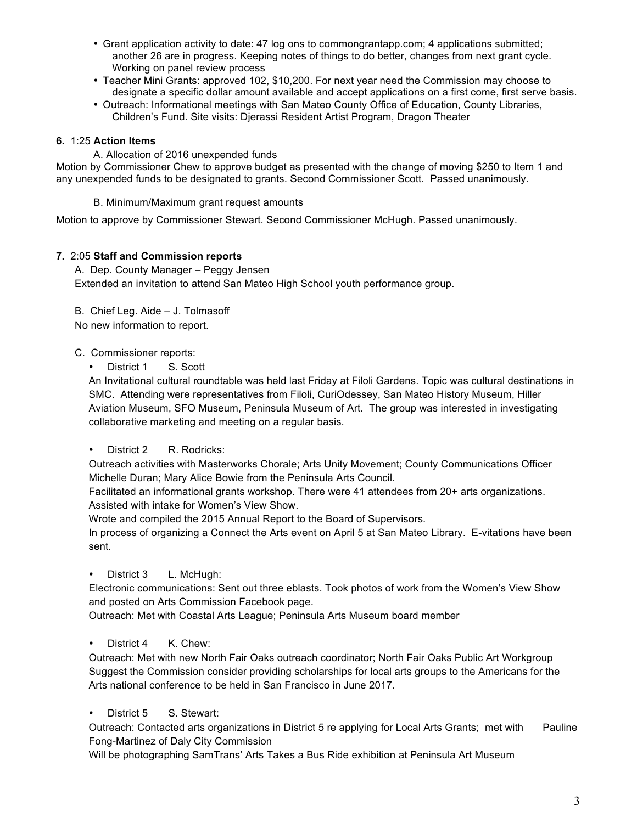- Grant application activity to date: 47 log ons to commongrantapp.com; 4 applications submitted; another 26 are in progress. Keeping notes of things to do better, changes from next grant cycle. Working on panel review process
- Teacher Mini Grants: approved 102, \$10,200. For next year need the Commission may choose to designate a specific dollar amount available and accept applications on a first come, first serve basis.
- Outreach: Informational meetings with San Mateo County Office of Education, County Libraries, Children's Fund. Site visits: Djerassi Resident Artist Program, Dragon Theater

## **6.** 1:25 **Action Items**

A. Allocation of 2016 unexpended funds Motion by Commissioner Chew to approve budget as presented with the change of moving \$250 to Item 1 and any unexpended funds to be designated to grants. Second Commissioner Scott. Passed unanimously.

B. Minimum/Maximum grant request amounts

Motion to approve by Commissioner Stewart. Second Commissioner McHugh. Passed unanimously.

## **7.** 2:05 **Staff and Commission reports**

A. Dep. County Manager – Peggy Jensen Extended an invitation to attend San Mateo High School youth performance group.

B. Chief Leg. Aide – J. Tolmasoff

No new information to report.

## C. Commissioner reports:

• District 1 S. Scott

An Invitational cultural roundtable was held last Friday at Filoli Gardens. Topic was cultural destinations in SMC. Attending were representatives from Filoli, CuriOdessey, San Mateo History Museum, Hiller Aviation Museum, SFO Museum, Peninsula Museum of Art. The group was interested in investigating collaborative marketing and meeting on a regular basis.

• District 2 R. Rodricks:

Outreach activities with Masterworks Chorale; Arts Unity Movement; County Communications Officer Michelle Duran; Mary Alice Bowie from the Peninsula Arts Council.

Facilitated an informational grants workshop. There were 41 attendees from 20+ arts organizations. Assisted with intake for Women's View Show.

Wrote and compiled the 2015 Annual Report to the Board of Supervisors.

In process of organizing a Connect the Arts event on April 5 at San Mateo Library. E-vitations have been sent.

District 3 L. McHugh:

Electronic communications: Sent out three eblasts. Took photos of work from the Women's View Show and posted on Arts Commission Facebook page.

Outreach: Met with Coastal Arts League; Peninsula Arts Museum board member

• District 4 K. Chew:

Outreach: Met with new North Fair Oaks outreach coordinator; North Fair Oaks Public Art Workgroup Suggest the Commission consider providing scholarships for local arts groups to the Americans for the Arts national conference to be held in San Francisco in June 2017.

District 5 S. Stewart:

Outreach: Contacted arts organizations in District 5 re applying for Local Arts Grants; met with Pauline Fong-Martinez of Daly City Commission

Will be photographing SamTrans' Arts Takes a Bus Ride exhibition at Peninsula Art Museum